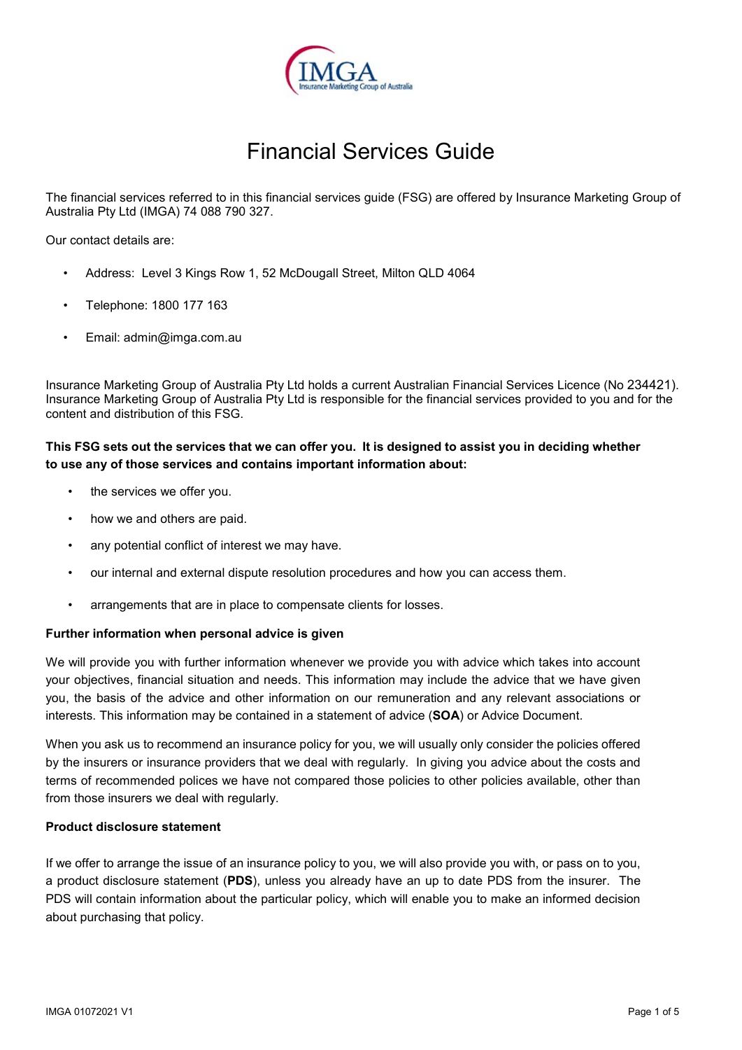

# Financial Services Guide

The financial services referred to in this financial services guide (FSG) are offered by Insurance Marketing Group of Australia Pty Ltd (IMGA) 74 088 790 327.

Our contact details are:

- Address: Level 3 Kings Row 1, 52 McDougall Street, Milton QLD 4064
- Telephone: 1800 177 163
- Email: admin@imga.com.au

Insurance Marketing Group of Australia Pty Ltd holds a current Australian Financial Services Licence (No 234421). Insurance Marketing Group of Australia Pty Ltd is responsible for the financial services provided to you and for the content and distribution of this FSG.

# **This FSG sets out the services that we can offer you. It is designed to assist you in deciding whether to use any of those services and contains important information about:**

- the services we offer you.
- how we and others are paid.
- any potential conflict of interest we may have.
- our internal and external dispute resolution procedures and how you can access them.
- arrangements that are in place to compensate clients for losses.

#### **Further information when personal advice is given**

We will provide you with further information whenever we provide you with advice which takes into account your objectives, financial situation and needs. This information may include the advice that we have given you, the basis of the advice and other information on our remuneration and any relevant associations or interests. This information may be contained in a statement of advice (**SOA**) or Advice Document.

When you ask us to recommend an insurance policy for you, we will usually only consider the policies offered by the insurers or insurance providers that we deal with regularly. In giving you advice about the costs and terms of recommended polices we have not compared those policies to other policies available, other than from those insurers we deal with regularly.

### **Product disclosure statement**

If we offer to arrange the issue of an insurance policy to you, we will also provide you with, or pass on to you, a product disclosure statement (**PDS**), unless you already have an up to date PDS from the insurer. The PDS will contain information about the particular policy, which will enable you to make an informed decision about purchasing that policy.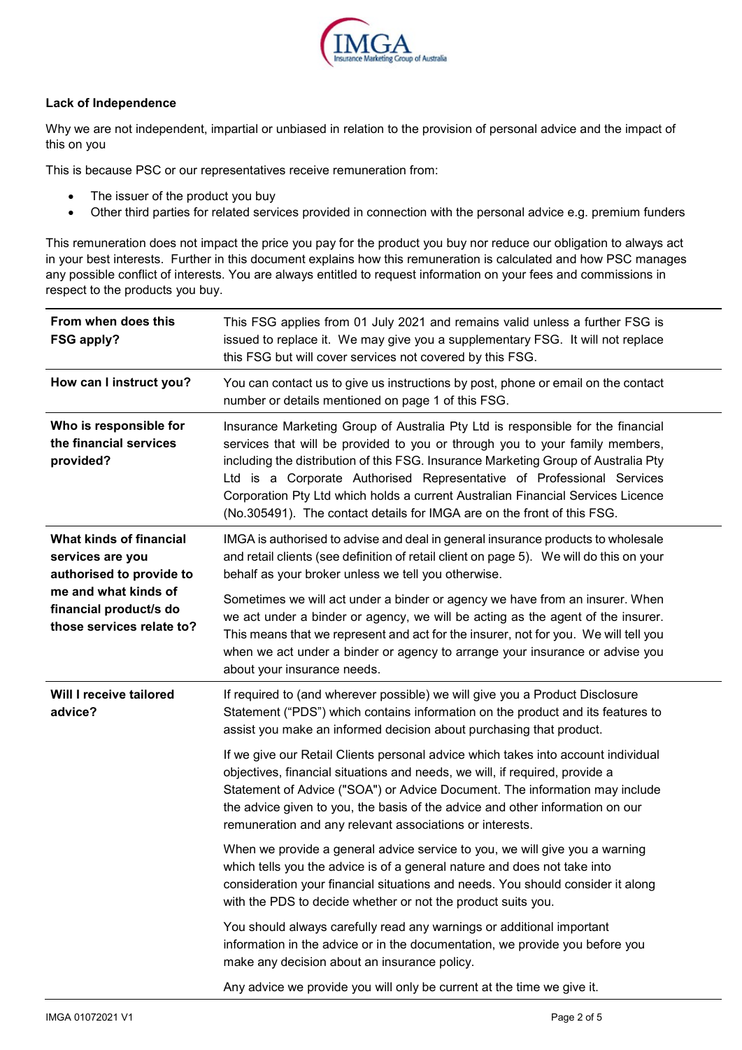

## **Lack of Independence**

Why we are not independent, impartial or unbiased in relation to the provision of personal advice and the impact of this on you

This is because PSC or our representatives receive remuneration from:

- The issuer of the product you buy
- Other third parties for related services provided in connection with the personal advice e.g. premium funders

This remuneration does not impact the price you pay for the product you buy nor reduce our obligation to always act in your best interests. Further in this document explains how this remuneration is calculated and how PSC manages any possible conflict of interests. You are always entitled to request information on your fees and commissions in respect to the products you buy.

| From when does this<br><b>FSG apply?</b>                                                                                                               | This FSG applies from 01 July 2021 and remains valid unless a further FSG is<br>issued to replace it. We may give you a supplementary FSG. It will not replace<br>this FSG but will cover services not covered by this FSG.                                                                                                                                                                                                                                                                  |  |  |
|--------------------------------------------------------------------------------------------------------------------------------------------------------|----------------------------------------------------------------------------------------------------------------------------------------------------------------------------------------------------------------------------------------------------------------------------------------------------------------------------------------------------------------------------------------------------------------------------------------------------------------------------------------------|--|--|
| How can I instruct you?                                                                                                                                | You can contact us to give us instructions by post, phone or email on the contact<br>number or details mentioned on page 1 of this FSG.                                                                                                                                                                                                                                                                                                                                                      |  |  |
| Who is responsible for<br>the financial services<br>provided?                                                                                          | Insurance Marketing Group of Australia Pty Ltd is responsible for the financial<br>services that will be provided to you or through you to your family members,<br>including the distribution of this FSG. Insurance Marketing Group of Australia Pty<br>Ltd is a Corporate Authorised Representative of Professional Services<br>Corporation Pty Ltd which holds a current Australian Financial Services Licence<br>(No.305491). The contact details for IMGA are on the front of this FSG. |  |  |
| What kinds of financial<br>services are you<br>authorised to provide to<br>me and what kinds of<br>financial product/s do<br>those services relate to? | IMGA is authorised to advise and deal in general insurance products to wholesale<br>and retail clients (see definition of retail client on page 5). We will do this on your<br>behalf as your broker unless we tell you otherwise.                                                                                                                                                                                                                                                           |  |  |
|                                                                                                                                                        | Sometimes we will act under a binder or agency we have from an insurer. When<br>we act under a binder or agency, we will be acting as the agent of the insurer.<br>This means that we represent and act for the insurer, not for you. We will tell you<br>when we act under a binder or agency to arrange your insurance or advise you<br>about your insurance needs.                                                                                                                        |  |  |
| Will I receive tailored<br>advice?                                                                                                                     | If required to (and wherever possible) we will give you a Product Disclosure<br>Statement ("PDS") which contains information on the product and its features to<br>assist you make an informed decision about purchasing that product.                                                                                                                                                                                                                                                       |  |  |
|                                                                                                                                                        | If we give our Retail Clients personal advice which takes into account individual<br>objectives, financial situations and needs, we will, if required, provide a<br>Statement of Advice ("SOA") or Advice Document. The information may include<br>the advice given to you, the basis of the advice and other information on our<br>remuneration and any relevant associations or interests.                                                                                                 |  |  |
|                                                                                                                                                        | When we provide a general advice service to you, we will give you a warning<br>which tells you the advice is of a general nature and does not take into<br>consideration your financial situations and needs. You should consider it along<br>with the PDS to decide whether or not the product suits you.                                                                                                                                                                                   |  |  |
|                                                                                                                                                        | You should always carefully read any warnings or additional important<br>information in the advice or in the documentation, we provide you before you<br>make any decision about an insurance policy.                                                                                                                                                                                                                                                                                        |  |  |
|                                                                                                                                                        | Any advice we provide you will only be current at the time we give it.                                                                                                                                                                                                                                                                                                                                                                                                                       |  |  |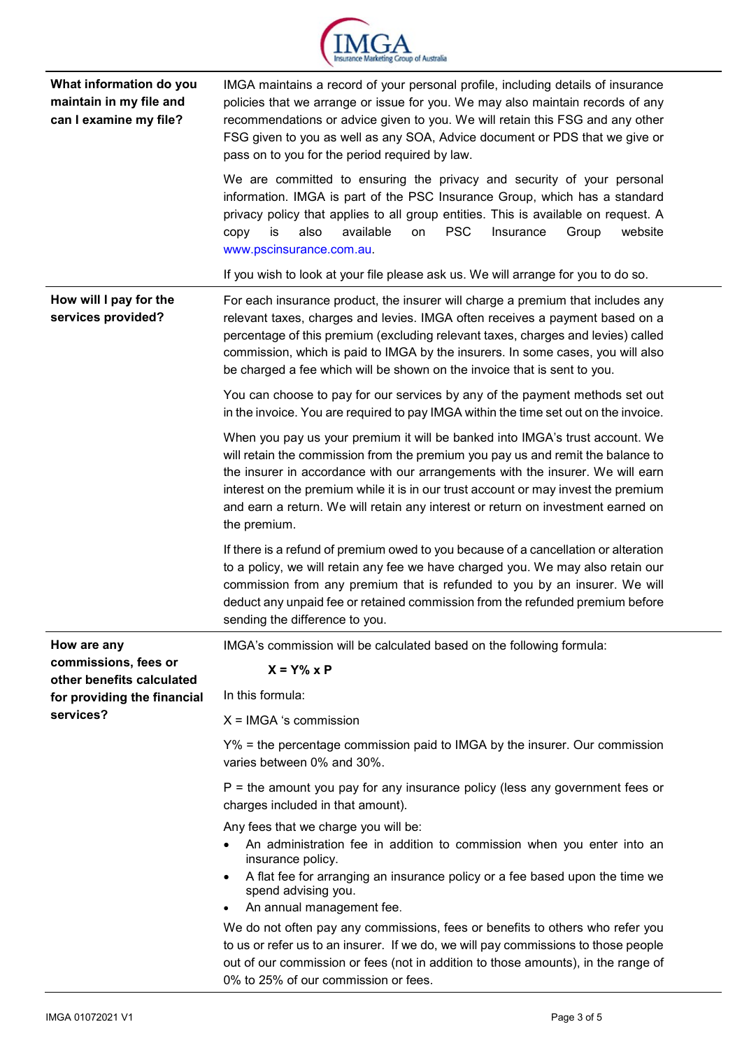

| What information do you<br>maintain in my file and<br>can I examine my file?                  | IMGA maintains a record of your personal profile, including details of insurance<br>policies that we arrange or issue for you. We may also maintain records of any<br>recommendations or advice given to you. We will retain this FSG and any other<br>FSG given to you as well as any SOA, Advice document or PDS that we give or<br>pass on to you for the period required by law.                                                        |  |  |
|-----------------------------------------------------------------------------------------------|---------------------------------------------------------------------------------------------------------------------------------------------------------------------------------------------------------------------------------------------------------------------------------------------------------------------------------------------------------------------------------------------------------------------------------------------|--|--|
|                                                                                               | We are committed to ensuring the privacy and security of your personal<br>information. IMGA is part of the PSC Insurance Group, which has a standard<br>privacy policy that applies to all group entities. This is available on request. A<br>available<br><b>PSC</b><br>also<br>Insurance<br>Group<br>website<br>copy<br>is<br>on<br>www.pscinsurance.com.au.                                                                              |  |  |
|                                                                                               | If you wish to look at your file please ask us. We will arrange for you to do so.                                                                                                                                                                                                                                                                                                                                                           |  |  |
| How will I pay for the<br>services provided?                                                  | For each insurance product, the insurer will charge a premium that includes any<br>relevant taxes, charges and levies. IMGA often receives a payment based on a<br>percentage of this premium (excluding relevant taxes, charges and levies) called<br>commission, which is paid to IMGA by the insurers. In some cases, you will also<br>be charged a fee which will be shown on the invoice that is sent to you.                          |  |  |
|                                                                                               | You can choose to pay for our services by any of the payment methods set out<br>in the invoice. You are required to pay IMGA within the time set out on the invoice.                                                                                                                                                                                                                                                                        |  |  |
|                                                                                               | When you pay us your premium it will be banked into IMGA's trust account. We<br>will retain the commission from the premium you pay us and remit the balance to<br>the insurer in accordance with our arrangements with the insurer. We will earn<br>interest on the premium while it is in our trust account or may invest the premium<br>and earn a return. We will retain any interest or return on investment earned on<br>the premium. |  |  |
|                                                                                               | If there is a refund of premium owed to you because of a cancellation or alteration<br>to a policy, we will retain any fee we have charged you. We may also retain our<br>commission from any premium that is refunded to you by an insurer. We will<br>deduct any unpaid fee or retained commission from the refunded premium before<br>sending the difference to you.                                                                     |  |  |
| How are any                                                                                   | IMGA's commission will be calculated based on the following formula:                                                                                                                                                                                                                                                                                                                                                                        |  |  |
| commissions, fees or<br>other benefits calculated<br>for providing the financial<br>services? | $X = Y\% \times P$                                                                                                                                                                                                                                                                                                                                                                                                                          |  |  |
|                                                                                               | In this formula:                                                                                                                                                                                                                                                                                                                                                                                                                            |  |  |
|                                                                                               | $X = I MGA$ 's commission                                                                                                                                                                                                                                                                                                                                                                                                                   |  |  |
|                                                                                               | Y% = the percentage commission paid to IMGA by the insurer. Our commission<br>varies between 0% and 30%.                                                                                                                                                                                                                                                                                                                                    |  |  |
|                                                                                               | $P =$ the amount you pay for any insurance policy (less any government fees or<br>charges included in that amount).                                                                                                                                                                                                                                                                                                                         |  |  |
|                                                                                               | Any fees that we charge you will be:<br>An administration fee in addition to commission when you enter into an<br>insurance policy.                                                                                                                                                                                                                                                                                                         |  |  |
|                                                                                               | A flat fee for arranging an insurance policy or a fee based upon the time we<br>$\bullet$<br>spend advising you.<br>An annual management fee.<br>$\bullet$                                                                                                                                                                                                                                                                                  |  |  |
|                                                                                               | We do not often pay any commissions, fees or benefits to others who refer you                                                                                                                                                                                                                                                                                                                                                               |  |  |
|                                                                                               | to us or refer us to an insurer. If we do, we will pay commissions to those people<br>out of our commission or fees (not in addition to those amounts), in the range of<br>0% to 25% of our commission or fees.                                                                                                                                                                                                                             |  |  |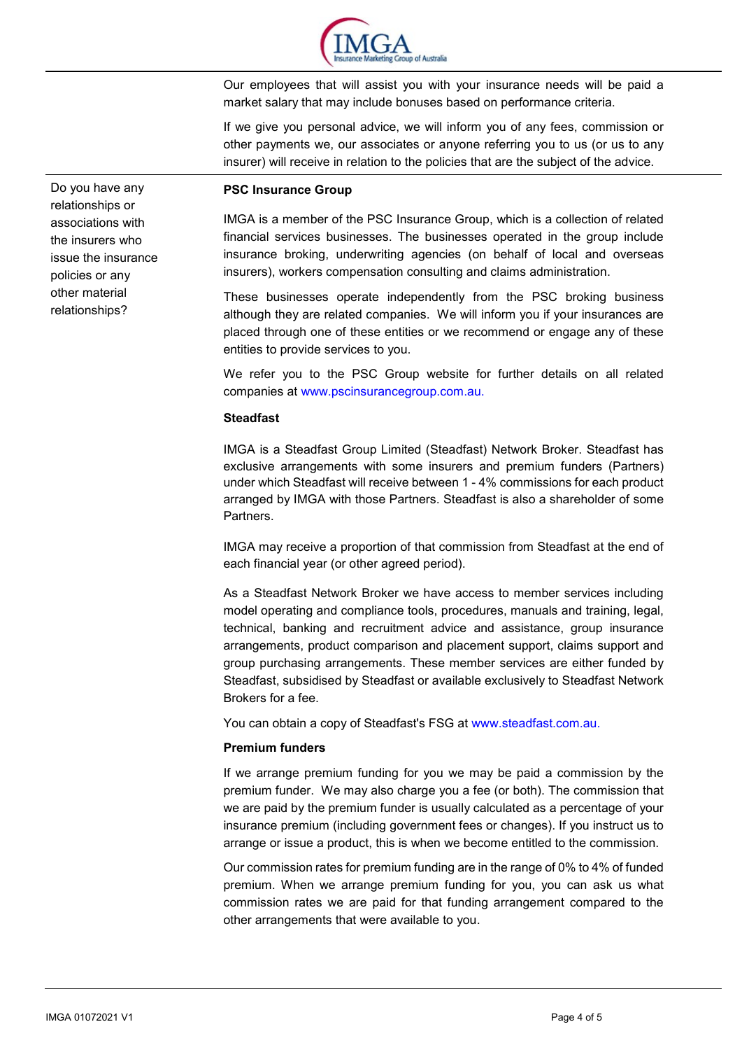

Our employees that will assist you with your insurance needs will be paid a market salary that may include bonuses based on performance criteria.

If we give you personal advice, we will inform you of any fees, commission or other payments we, our associates or anyone referring you to us (or us to any insurer) will receive in relation to the policies that are the subject of the advice.

#### **PSC Insurance Group**

IMGA is a member of the PSC Insurance Group, which is a collection of related financial services businesses. The businesses operated in the group include insurance broking, underwriting agencies (on behalf of local and overseas insurers), workers compensation consulting and claims administration.

These businesses operate independently from the PSC broking business although they are related companies. We will inform you if your insurances are placed through one of these entities or we recommend or engage any of these entities to provide services to you.

We refer you to the PSC Group website for further details on all related companies at www.pscinsurancegroup.com.au.

# **Steadfast**

IMGA is a Steadfast Group Limited (Steadfast) Network Broker. Steadfast has exclusive arrangements with some insurers and premium funders (Partners) under which Steadfast will receive between 1 - 4% commissions for each product arranged by IMGA with those Partners. Steadfast is also a shareholder of some Partners.

IMGA may receive a proportion of that commission from Steadfast at the end of each financial year (or other agreed period).

As a Steadfast Network Broker we have access to member services including model operating and compliance tools, procedures, manuals and training, legal, technical, banking and recruitment advice and assistance, group insurance arrangements, product comparison and placement support, claims support and group purchasing arrangements. These member services are either funded by Steadfast, subsidised by Steadfast or available exclusively to Steadfast Network Brokers for a fee.

You can obtain a copy of Steadfast's FSG at [www.steadfast.com.au.](http://www.steadfast.com.au/)

## **Premium funders**

If we arrange premium funding for you we may be paid a commission by the premium funder. We may also charge you a fee (or both). The commission that we are paid by the premium funder is usually calculated as a percentage of your insurance premium (including government fees or changes). If you instruct us to arrange or issue a product, this is when we become entitled to the commission.

Our commission rates for premium funding are in the range of 0% to 4% of funded premium. When we arrange premium funding for you, you can ask us what commission rates we are paid for that funding arrangement compared to the other arrangements that were available to you.

Do you have any relationships or associations with the insurers who issue the insurance policies or any other material relationships?